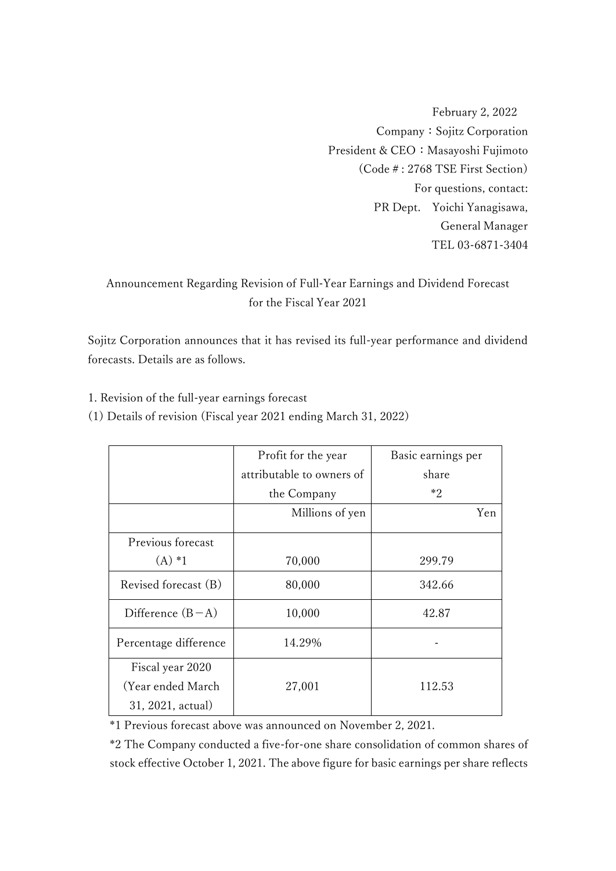February 2, 2022 Company:Sojitz Corporation President & CEO: Masayoshi Fujimoto (Code#: 2768 TSE First Section) For questions, contact: PR Dept. Yoichi Yanagisawa, General Manager TEL 03-6871-3404

# Announcement Regarding Revision of Full-Year Earnings and Dividend Forecast for the Fiscal Year 2021

Sojitz Corporation announces that it has revised its full-year performance and dividend forecasts. Details are as follows.

1. Revision of the full-year earnings forecast

(1) Details of revision (Fiscal year 2021 ending March 31, 2022)

|                       | Profit for the year       | Basic earnings per |
|-----------------------|---------------------------|--------------------|
|                       | attributable to owners of | share              |
|                       | the Company               | $*2$               |
|                       | Millions of yen           | Yen.               |
| Previous forecast     |                           |                    |
| $(A) * 1$             | 70,000                    | 299.79             |
| Revised forecast (B)  | 80,000                    | 342.66             |
| Difference $(B-A)$    | 10,000                    | 42.87              |
| Percentage difference | 14.29%                    |                    |
| Fiscal year 2020      |                           |                    |
| (Year ended March)    | 27,001                    | 112.53             |
| 31, 2021, actual)     |                           |                    |

\*1 Previous forecast above was announced on November 2, 2021.

\*2 The Company conducted a five-for-one share consolidation of common shares of stock effective October 1, 2021. The above figure for basic earnings per share reflects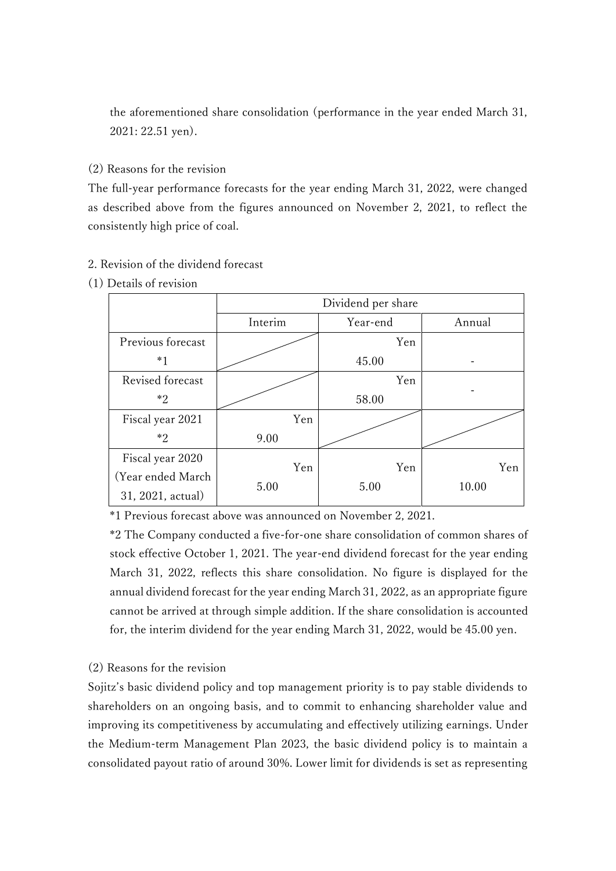the aforementioned share consolidation (performance in the year ended March 31, 2021: 22.51 yen).

# (2) Reasons for the revision

The full-year performance forecasts for the year ending March 31, 2022, were changed as described above from the figures announced on November 2, 2021, to reflect the consistently high price of coal.

### 2. Revision of the dividend forecast

#### (1) Details of revision

|                    | Dividend per share |          |        |
|--------------------|--------------------|----------|--------|
|                    | Interim            | Year-end | Annual |
| Previous forecast  |                    | Yen      |        |
| $*_{1}$            |                    | 45.00    |        |
| Revised forecast   |                    | Yen      |        |
| *2                 |                    | 58.00    |        |
| Fiscal year 2021   | Yen                |          |        |
| $*2$               | 9.00               |          |        |
| Fiscal year 2020   | Yen                | Yen      | Yen    |
| (Year ended March) |                    |          |        |
| 31, 2021, actual)  | 5.00               | 5.00     | 10.00  |

\*1 Previous forecast above was announced on November 2, 2021.

\*2 The Company conducted a five-for-one share consolidation of common shares of stock effective October 1, 2021. The year-end dividend forecast for the year ending March 31, 2022, reflects this share consolidation. No figure is displayed for the annual dividend forecast for the year ending March 31, 2022, as an appropriate figure cannot be arrived at through simple addition. If the share consolidation is accounted for, the interim dividend for the year ending March 31, 2022, would be 45.00 yen.

# (2) Reasons for the revision

Sojitz's basic dividend policy and top management priority is to pay stable dividends to shareholders on an ongoing basis, and to commit to enhancing shareholder value and improving its competitiveness by accumulating and effectively utilizing earnings. Under the Medium-term Management Plan 2023, the basic dividend policy is to maintain a consolidated payout ratio of around 30%. Lower limit for dividends is set as representing